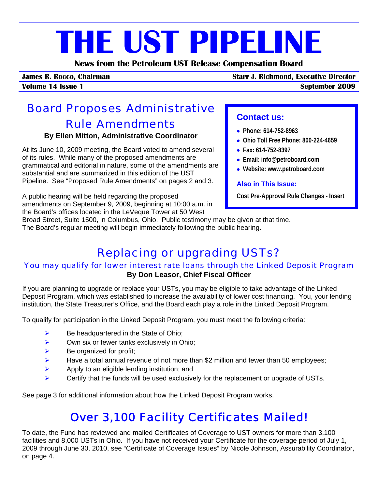# **THE UST PIPELINE**

**News from the Petroleum UST Release Compensation Board** 

**James R. Rocco, Chairman Starr J. Richmond, Executive Director**

**Volume 14 Issue 1 September 2009**

# Board Proposes Administrative Rule Amendments

#### **By Ellen Mitton, Administrative Coordinator**

At its June 10, 2009 meeting, the Board voted to amend several of its rules. While many of the proposed amendments are grammatical and editorial in nature, some of the amendments are substantial and are summarized in this edition of the UST Pipeline. See "Proposed Rule Amendments" on [pages 2 and 3.](#page-1-0) 

A public hearing will be held regarding the proposed amendments on September 9, 2009, beginning at 10:00 a.m. in the Board's offices located in the LeVeque Tower at 50 West

## **Contact us:**

- • **Phone: 614-752-8963**
- • **Ohio Toll Free Phone: 800-224-4659**
- • **Fax: 614-752-8397**
- • **Email: info@petroboard.com**
- • **Website: www.petroboard.com**

#### **Also in This Issue:**

**Cost Pre-Approval Rule Changes - Insert** 

Broad Street, Suite 1500, in Columbus, Ohio. Public testimony may be given at that time.

The Board's regular meeting will begin immediately following the public hearing.

# Replacing or upgrading USTs?

#### You may qualify for lower interest rate loans through the Linked Deposit Program **By Don Leasor, Chief Fiscal Officer**

If you are planning to upgrade or replace your USTs, you may be eligible to take advantage of the Linked Deposit Program, which was established to increase the availability of lower cost financing. You, your lending institution, the State Treasurer's Office, and the Board each play a role in the Linked Deposit Program.

To qualify for participation in the Linked Deposit Program, you must meet the following criteria:

- $\triangleright$  Be headquartered in the State of Ohio;
- $\triangleright$  Own six or fewer tanks exclusively in Ohio;
- $\triangleright$  Be organized for profit;
- $\blacktriangleright$  Have a total annual revenue of not more than \$2 million and fewer than 50 employees;
- $\triangleright$  Apply to an eligible lending institution; and
- Certify that the funds will be used exclusively for the replacement or upgrade of USTs.

See [page 3](#page-2-0) for additional information about how the Linked Deposit Program works.

# Over 3,100 Facility Certificates Mailed!

To date, the Fund has reviewed and mailed Certificates of Coverage to UST owners for more than 3,100 facilities and 8,000 USTs in Ohio. If you have not received your Certificate for the coverage period of July 1, 2009 through June 30, 2010, see "Certificate of Coverage Issues" by Nicole Johnson, Assurability Coordinator, on [page 4.](#page-3-0)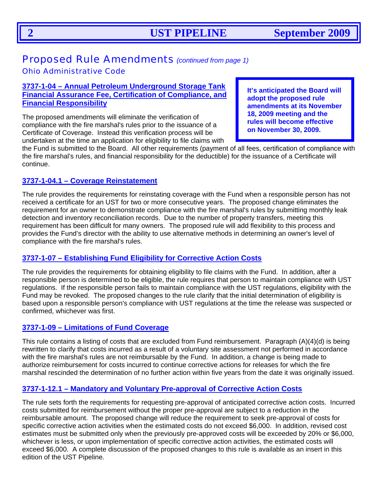## <span id="page-1-0"></span>Proposed Rule Amendments *(continued from page 1)*

#### Ohio Administrative Code

#### **3737-1-04 – Annual Petroleum Underground Storage Tank Financial Assurance Fee, Certification of Compliance, and Financial Responsibility**

The proposed amendments will eliminate the verification of compliance with the fire marshal's rules prior to the issuance of a Certificate of Coverage. Instead this verification process will be undertaken at the time an application for eligibility to file claims with **It's anticipated the Board will adopt the proposed rule amendments at its November 18, 2009 meeting and the rules will become effective on November 30, 2009.** 

the Fund is submitted to the Board. All other requirements (payment of all fees, certification of compliance with the fire marshal's rules, and financial responsibility for the deductible) for the issuance of a Certificate will continue.

#### **3737-1-04.1 – Coverage Reinstatement**

The rule provides the requirements for reinstating coverage with the Fund when a responsible person has not received a certificate for an UST for two or more consecutive years. The proposed change eliminates the requirement for an owner to demonstrate compliance with the fire marshal's rules by submitting monthly leak detection and inventory reconciliation records. Due to the number of property transfers, meeting this requirement has been difficult for many owners. The proposed rule will add flexibility to this process and provides the Fund's director with the ability to use alternative methods in determining an owner's level of compliance with the fire marshal's rules.

#### **3737-1-07 – Establishing Fund Eligibility for Corrective Action Costs**

The rule provides the requirements for obtaining eligibility to file claims with the Fund. In addition, after a responsible person is determined to be eligible, the rule requires that person to maintain compliance with UST regulations. If the responsible person fails to maintain compliance with the UST regulations, eligibility with the Fund may be revoked. The proposed changes to the rule clarify that the initial determination of eligibility is based upon a responsible person's compliance with UST regulations at the time the release was suspected or confirmed, whichever was first.

#### **3737-1-09 – Limitations of Fund Coverage**

This rule contains a listing of costs that are excluded from Fund reimbursement. Paragraph (A)(4)(d) is being rewritten to clarify that costs incurred as a result of a voluntary site assessment not performed in accordance with the fire marshal's rules are not reimbursable by the Fund. In addition, a change is being made to authorize reimbursement for costs incurred to continue corrective actions for releases for which the fire marshal rescinded the determination of no further action within five years from the date it was originally issued.

#### **3737-1-12.1 – Mandatory and Voluntary Pre-approval of Corrective Action Costs**

The rule sets forth the requirements for requesting pre-approval of anticipated corrective action costs. Incurred costs submitted for reimbursement without the proper pre-approval are subject to a reduction in the reimbursable amount. The proposed change will reduce the requirement to seek pre-approval of costs for specific corrective action activities when the estimated costs do not exceed \$6,000. In addition, revised cost estimates must be submitted only when the previously pre-approved costs will be exceeded by 20% or \$6,000, whichever is less, or upon implementation of specific corrective action activities, the estimated costs will exceed \$6,000. A complete discussion of the proposed changes to this rule is available as an insert in this edition of the UST Pipeline.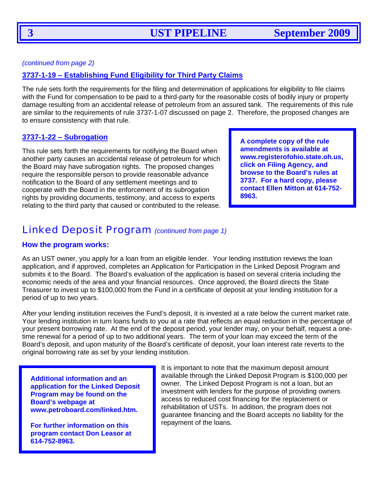<span id="page-2-0"></span>

*(continued from page 2)* 

#### **3737-1-19 – Establishing Fund Eligibility for Third Party Claims**

The rule sets forth the requirements for the filing and determination of applications for eligibility to file claims with the Fund for compensation to be paid to a third-party for the reasonable costs of bodily injury or property damage resulting from an accidental release of petroleum from an assured tank. The requirements of this rule are similar to the requirements of rule 3737-1-07 discussed on page 2. Therefore, the proposed changes are to ensure consistency with that rule.

#### **3737-1-22 – Subrogation**

This rule sets forth the requirements for notifying the Board when another party causes an accidental release of petroleum for which the Board may have subrogation rights. The proposed changes require the responsible person to provide reasonable advance notification to the Board of any settlement meetings and to cooperate with the Board in the enforcement of its subrogation rights by providing documents, testimony, and access to experts relating to the third party that caused or contributed to the release. **A complete copy of the rule amendments is available at www.registerofohio.state.oh.us, click on Filing Agency, and browse to the Board's rules at 3737. For a hard copy, please contact Ellen Mitton at 614-752- 8963.**

## Linked Deposit Program *(continued from page 1)*

#### **How the program works:**

As an UST owner, you apply for a loan from an eligible lender. Your lending institution reviews the loan application, and if approved, completes an Application for Participation in the Linked Deposit Program and submits it to the Board. The Board's evaluation of the application is based on several criteria including the economic needs of the area and your financial resources. Once approved, the Board directs the State Treasurer to invest up to \$100,000 from the Fund in a certificate of deposit at your lending institution for a period of up to two years.

After your lending institution receives the Fund's deposit, it is invested at a rate below the current market rate. Your lending institution in turn loans funds to you at a rate that reflects an equal reduction in the percentage of your present borrowing rate. At the end of the deposit period, your lender may, on your behalf, request a onetime renewal for a period of up to two additional years. The term of your loan may exceed the term of the Board's deposit, and upon maturity of the Board's certificate of deposit, your loan interest rate reverts to the original borrowing rate as set by your lending institution.

**Additional information and an application for the Linked Deposit Program may be found on the Board's webpage at www.petroboard.com/linked.htm.** 

**For further information on this program contact Don Leasor at 614-752-8963.**

It is important to note that the maximum deposit amount available through the Linked Deposit Program is \$100,000 per owner. The Linked Deposit Program is not a loan, but an investment with lenders for the purpose of providing owners access to reduced cost financing for the replacement or rehabilitation of USTs. In addition, the program does not guarantee financing and the Board accepts no liability for the repayment of the loans.